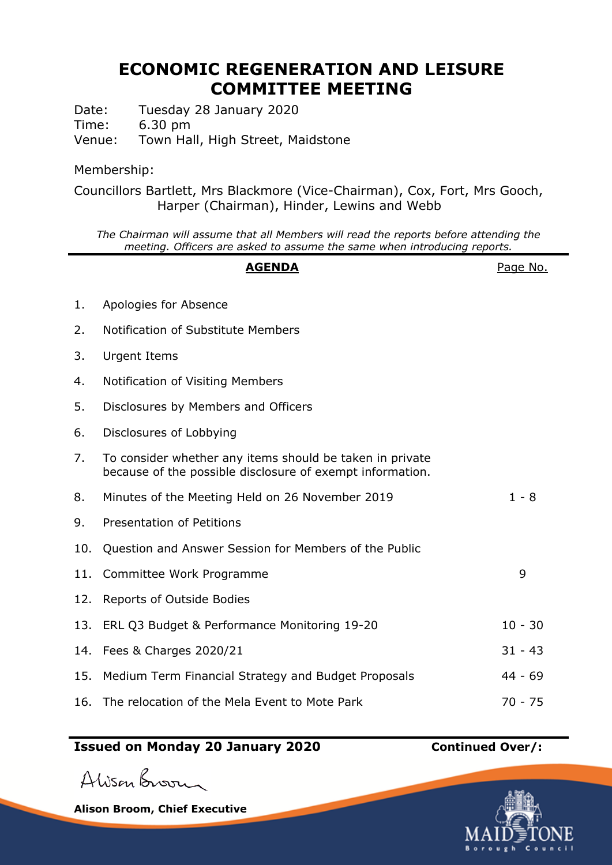## **ECONOMIC REGENERATION AND LEISURE COMMITTEE MEETING**

Date: Tuesday 28 January 2020 Time: 6.30 pm

Venue: Town Hall, High Street, Maidstone

## Membership:

Councillors Bartlett, Mrs Blackmore (Vice-Chairman), Cox, Fort, Mrs Gooch, Harper (Chairman), Hinder, Lewins and Webb

*The Chairman will assume that all Members will read the reports before attending the meeting. Officers are asked to assume the same when introducing reports.*

|     | <b>AGENDA</b>                                                                                                         | Page No.  |
|-----|-----------------------------------------------------------------------------------------------------------------------|-----------|
| 1.  | Apologies for Absence                                                                                                 |           |
| 2.  | Notification of Substitute Members                                                                                    |           |
| 3.  | <b>Urgent Items</b>                                                                                                   |           |
| 4.  | Notification of Visiting Members                                                                                      |           |
| 5.  | Disclosures by Members and Officers                                                                                   |           |
| 6.  | Disclosures of Lobbying                                                                                               |           |
| 7.  | To consider whether any items should be taken in private<br>because of the possible disclosure of exempt information. |           |
| 8.  | Minutes of the Meeting Held on 26 November 2019                                                                       | $1 - 8$   |
| 9.  | Presentation of Petitions                                                                                             |           |
| 10. | Question and Answer Session for Members of the Public                                                                 |           |
| 11. | Committee Work Programme                                                                                              | 9         |
| 12. | Reports of Outside Bodies                                                                                             |           |
| 13. | ERL Q3 Budget & Performance Monitoring 19-20                                                                          | $10 - 30$ |
| 14. | Fees & Charges 2020/21                                                                                                | $31 - 43$ |
| 15. | Medium Term Financial Strategy and Budget Proposals                                                                   | $44 - 69$ |
| 16. | The relocation of the Mela Event to Mote Park                                                                         | $70 - 75$ |

## **Issued on Monday 20 January 2020 Continued Over/:**

Alison Broom

**Alison Broom, Chief Executive**